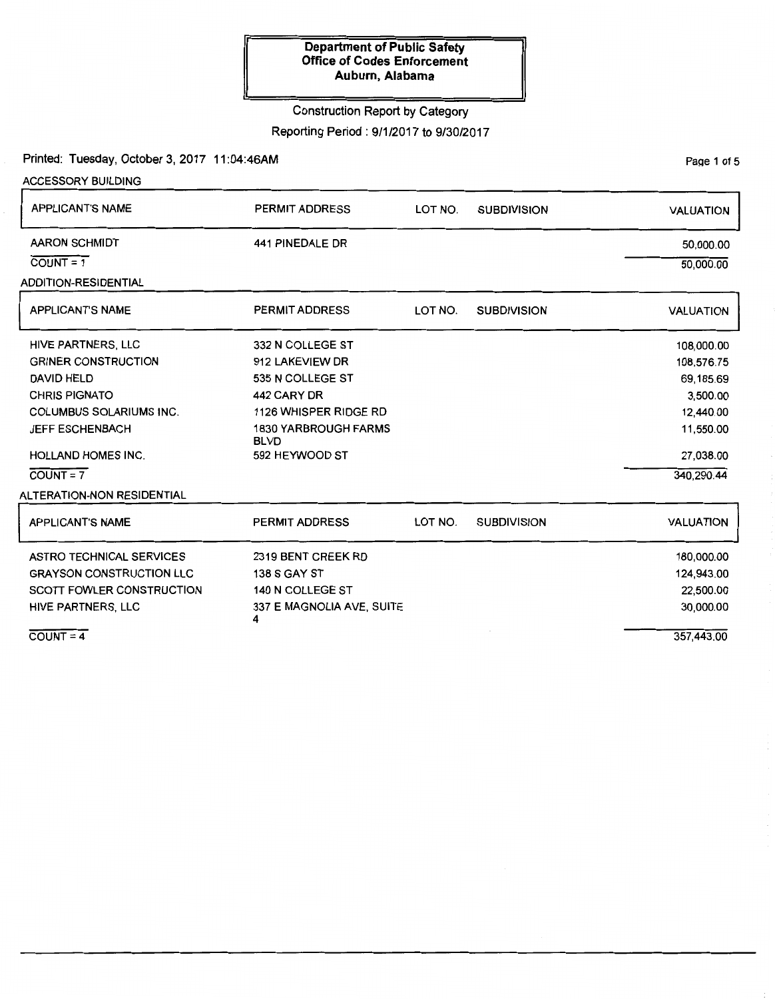#### Construction Report by Category

Reporting Period: 9/1/2017 to 9/30/2017

Printed: Tuesday, October 3, 2017 11:04:46AM

ACCESSORY BUILDING APPLICANT'S NAME AARON SCHMIDT  $COUNT = 1$ ADDITION-RESIDENTIAL APPLICANT'S NAME HIVE PARTNERS, LLC GRINER CONSTRUCTION DAVID HELD CHRIS PIGNATO COLUMBUS SOLARIUMS INC. JEFF ESCHENBACH HOLLAND HOMES INC.  $COUNT = 7$ ALTERATION-NON RESIDENTIAL APPLICANT'S NAME ASTRO TECHNICAL SERVICES GRAYSON CONSTRUCTION LLC SCOTT FOWLER CONSTRUCTION HIVE PARTNERS, LLC PERMIT ADDRESS 441 PINEDALE DR PERMIT ADDRESS 332 N COLLEGE ST 912 LAKEVIEW DR 535 N COLLEGE ST 442 CARY DR 1126 WHISPER RIDGE RD 1830 YARBROUGH FARMS BLVD 592 HEYWOOD ST PERMIT ADDRESS 2319 BENT CREEK RD 138 S GAY ST 140 N COLLEGE ST 337 E MAGNOLIA AVE, SUITE 4 LOT NO. SUBDIVISION LOT NO. SUBDIVISION LOT NO. SUBDIVISION VALUATION 50,000.00 50,000.00 VALUATION 108,000.00 108,576.75 69, 185.69 3,500.00 12,440.00 11,550.00 27,038.00 340,290.44 VALUATION 180,000.00 124,943.00 22,500.00 30,000.00 357,443.00

 $COUNT = 4$ 

Page 1 of 5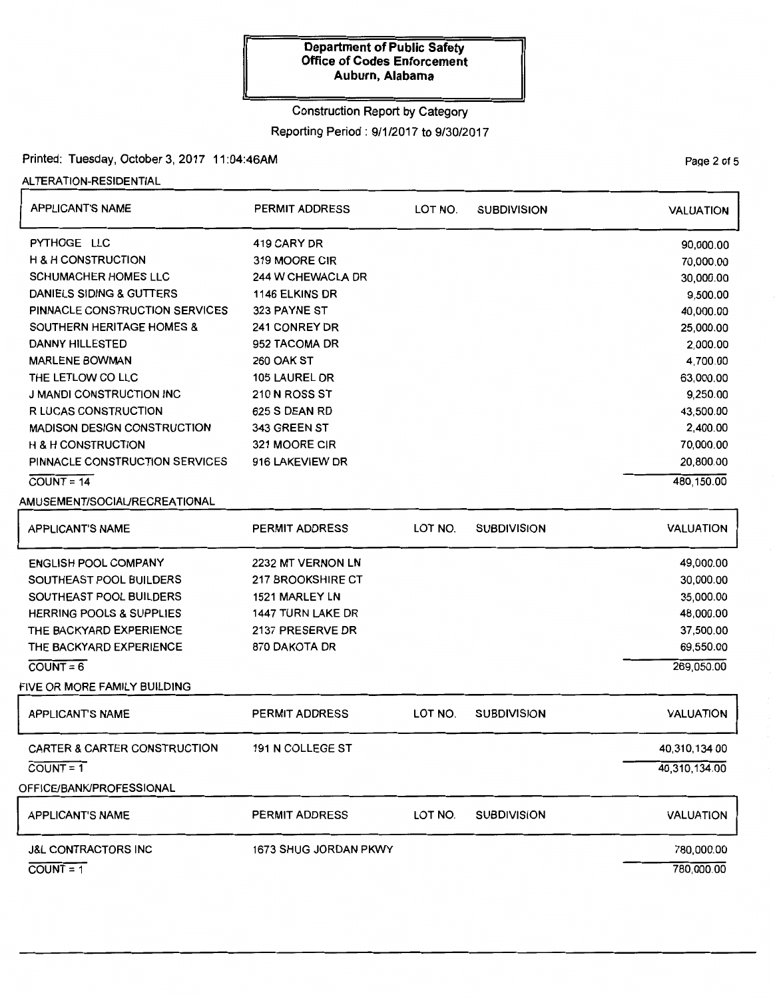# Construction Report by Category

Reporting Period : 9/1 /2017 to 9/30/2017

#### Printed: Tuesday, October 3, 2017 11:04:46AM

ALTERATION-RESIDENTIAL

| <b>APPLICANT'S NAME</b>                 | <b>PERMIT ADDRESS</b>    | LOT NO. | <b>SUBDIVISION</b> | <b>VALUATION</b> |
|-----------------------------------------|--------------------------|---------|--------------------|------------------|
| PYTHOGE LLC                             | 419 CARY DR              |         |                    | 90,000.00        |
| <b>H &amp; H CONSTRUCTION</b>           | 319 MOORE CIR            |         |                    | 70,000.00        |
| <b>SCHUMACHER HOMES LLC</b>             | 244 W CHEWACLA DR        |         |                    | 30,000.00        |
| DANIELS SIDING & GUTTERS                | 1146 ELKINS DR           |         |                    | 9,500.00         |
| <b>PINNACLE CONSTRUCTION SERVICES</b>   | 323 PAYNE ST             |         |                    | 40,000.00        |
| <b>SOUTHERN HERITAGE HOMES &amp;</b>    | 241 CONREY DR            |         |                    | 25,000.00        |
| DANNY HILLESTED                         | 952 TACOMA DR            |         |                    | 2,000.00         |
| <b>MARLENE BOWMAN</b>                   | <b>260 OAK ST</b>        |         |                    | 4,700.00         |
| THE LETLOW CO LLC                       | 105 LAUREL DR            |         |                    | 63,000.00        |
| <b>J MANDI CONSTRUCTION INC</b>         | 210 N ROSS ST            |         |                    | 9,250.00         |
| R LUCAS CONSTRUCTION                    | 625 S DEAN RD            |         |                    | 43,500.00        |
| <b>MADISON DESIGN CONSTRUCTION</b>      | 343 GREEN ST             |         |                    | 2,400.00         |
| <b>H &amp; H CONSTRUCTION</b>           | 321 MOORE CIR            |         |                    | 70,000.00        |
| PINNACLE CONSTRUCTION SERVICES          | 916 LAKEVIEW DR          |         |                    | 20,800.00        |
| $COUNT = 14$                            |                          |         |                    | 480,150.00       |
| AMUSEMENT/SOCIAL/RECREATIONAL           |                          |         |                    |                  |
| <b>APPLICANT'S NAME</b>                 | <b>PERMIT ADDRESS</b>    | LOT NO. | <b>SUBDIVISION</b> | <b>VALUATION</b> |
| <b>ENGLISH POOL COMPANY</b>             | 2232 MT VERNON LN        |         |                    | 49,000.00        |
| SOUTHEAST POOL BUILDERS                 | 217 BROOKSHIRE CT        |         |                    | 30,000.00        |
| SOUTHEAST POOL BUILDERS                 | 1521 MARLEY LN           |         |                    | 35,000.00        |
| <b>HERRING POOLS &amp; SUPPLIES</b>     | <b>1447 TURN LAKE DR</b> |         |                    | 48,000.00        |
| THE BACKYARD EXPERIENCE                 | 2137 PRESERVE DR         |         |                    | 37,500.00        |
| THE BACKYARD EXPERIENCE                 | 870 DAKOTA DR            |         |                    | 69,550.00        |
| $COUNT = 6$                             |                          |         |                    | 269,050.00       |
| FIVE OR MORE FAMILY BUILDING            |                          |         |                    |                  |
|                                         | <b>PERMIT ADDRESS</b>    |         |                    | <b>VALUATION</b> |
| <b>APPLICANT'S NAME</b>                 |                          | LOT NO. | <b>SUBDIVISION</b> |                  |
| <b>CARTER &amp; CARTER CONSTRUCTION</b> | 191 N COLLEGE ST         |         |                    | 40,310,134.00    |
| $COUNT = 1$                             |                          |         |                    | 40,310,134.00    |
| OFFICE/BANK/PROFESSIONAL                |                          |         |                    |                  |
| <b>APPLICANT'S NAME</b>                 | <b>PERMIT ADDRESS</b>    | LOT NO. | <b>SUBDIVISION</b> | <b>VALUATION</b> |
| J&L CONTRACTORS INC                     | 1673 SHUG JORDAN PKWY    |         |                    | 780,000.00       |
| $COUNT = 1$                             |                          |         |                    | 780,000.00       |

PaQe 2 of 5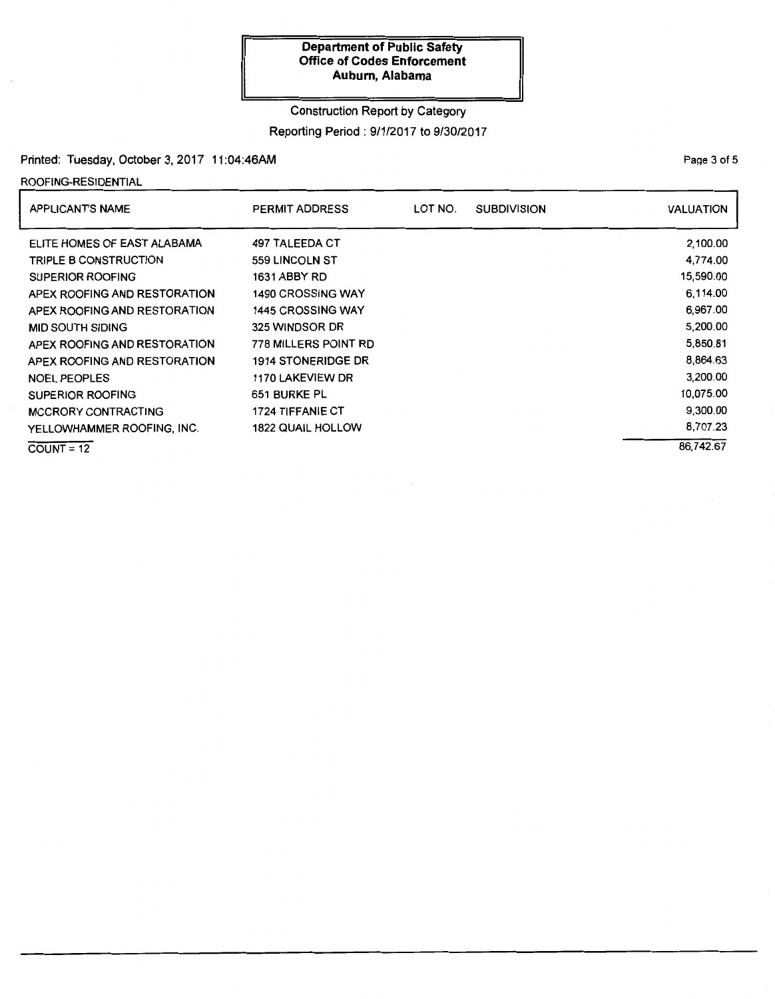### Construction Report by Category

# Reporting Period: 9/1/2017 to 9/30/2017

### Printed: Tuesday, October 3, 2017 11:04:46AM

ROOFING-RESIDENTIAL

| <b>APPLICANT'S NAME</b>      | <b>PERMIT ADDRESS</b>     | LOT NO. | <b>SUBDIVISION</b> | <b>VALUATION</b> |
|------------------------------|---------------------------|---------|--------------------|------------------|
| ELITE HOMES OF EAST ALABAMA  | <b>497 TALEEDA CT</b>     |         |                    | 2,100.00         |
| TRIPLE B CONSTRUCTION        | 559 LINCOLN ST            |         |                    | 4,774.00         |
| SUPERIOR ROOFING             | 1631 ABBY RD              |         |                    | 15,590.00        |
| APEX ROOFING AND RESTORATION | <b>1490 CROSSING WAY</b>  |         |                    | 6.114.00         |
| APEX ROOFING AND RESTORATION | <b>1445 CROSSING WAY</b>  |         |                    | 6,967.00         |
| <b>MID SOUTH SIDING</b>      | 325 WINDSOR DR            |         |                    | 5,200.00         |
| APEX ROOFING AND RESTORATION | 778 MILLERS POINT RD      |         |                    | 5,850.81         |
| APEX ROOFING AND RESTORATION | <b>1914 STONERIDGE DR</b> |         |                    | 8,864.63         |
| <b>NOEL PEOPLES</b>          | <b>1170 LAKEVIEW DR</b>   |         |                    | 3,200.00         |
| <b>SUPERIOR ROOFING</b>      | 651 BURKE PL              |         |                    | 10.075.00        |
| <b>MCCRORY CONTRACTING</b>   | <b>1724 TIFFANIE CT</b>   |         |                    | 9,300.00         |
| YELLOWHAMMER ROOFING, INC.   | 1822 QUAIL HOLLOW         |         |                    | 8,707.23         |
| $COUNT = 12$                 |                           |         |                    | 86,742.67        |

Page 3 of 5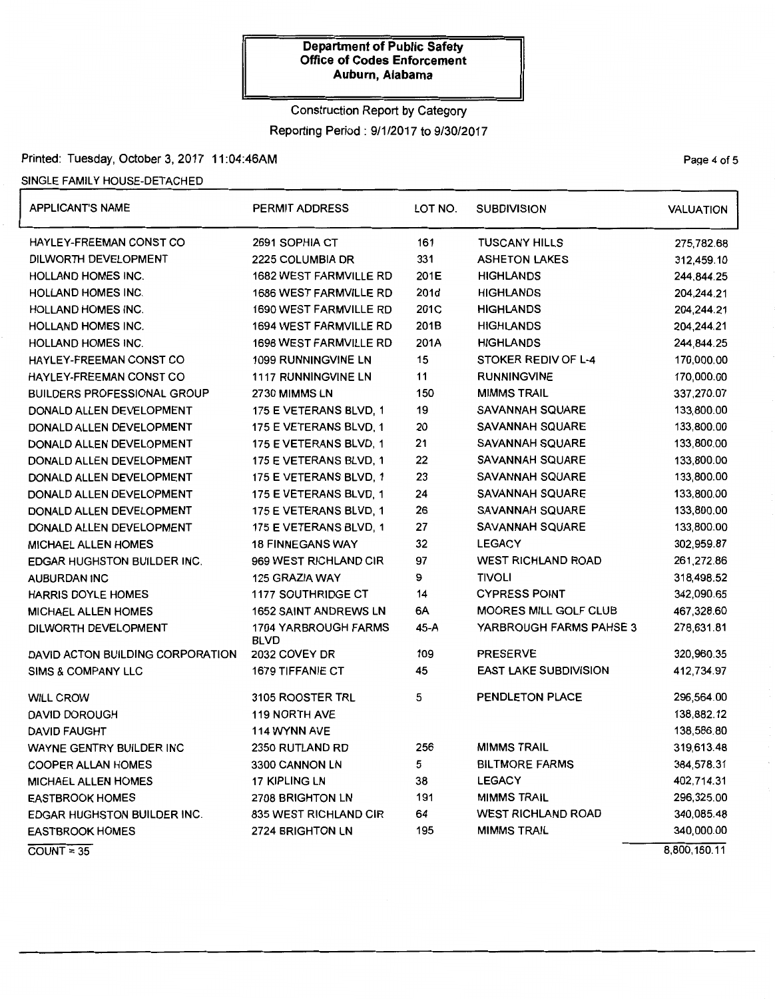# Construction Report by Category Reporting Period : 9/1 /2017 to 9/30/2017

# Printed: Tuesday, October 3, 2017 11:04:46AM

SINGLE FAMILY HOUSE-DETACHED

| <b>APPLICANT'S NAME</b>            | <b>PERMIT ADDRESS</b>                      | LOT NO. | <b>SUBDIVISION</b>           | <b>VALUATION</b> |
|------------------------------------|--------------------------------------------|---------|------------------------------|------------------|
| HAYLEY-FREEMAN CONST CO            | 2691 SOPHIA CT                             | 161     | <b>TUSCANY HILLS</b>         | 275,782.68       |
| DILWORTH DEVELOPMENT               | 2225 COLUMBIA DR                           | 331     | <b>ASHETON LAKES</b>         | 312,459.10       |
| <b>HOLLAND HOMES INC.</b>          | 1682 WEST FARMVILLE RD                     | 201E    | <b>HIGHLANDS</b>             | 244,844.25       |
| <b>HOLLAND HOMES INC.</b>          | 1686 WEST FARMVILLE RD                     | 201d    | <b>HIGHLANDS</b>             | 204,244.21       |
| <b>HOLLAND HOMES INC.</b>          | <b>1690 WEST FARMVILLE RD</b>              | 201C    | <b>HIGHLANDS</b>             | 204,244.21       |
| HOLLAND HOMES INC.                 | 1694 WEST FARMVILLE RD                     | 201B    | <b>HIGHLANDS</b>             | 204,244.21       |
| HOLLAND HOMES INC.                 | <b>1698 WEST FARMVILLE RD</b>              | 201A    | <b>HIGHLANDS</b>             | 244,844.25       |
| HAYLEY-FREEMAN CONST CO            | 1099 RUNNINGVINE LN                        | 15      | <b>STOKER REDIV OF L-4</b>   | 170,000.00       |
| HAYLEY-FREEMAN CONST CO            | <b>1117 RUNNINGVINE LN</b>                 | 11      | <b>RUNNINGVINE</b>           | 170,000.00       |
| <b>BUILDERS PROFESSIONAL GROUP</b> | 2730 MIMMS LN                              | 150     | <b>MIMMS TRAIL</b>           | 337,270.07       |
| DONALD ALLEN DEVELOPMENT           | 175 E VETERANS BLVD, 1                     | 19      | SAVANNAH SQUARE              | 133,800.00       |
| DONALD ALLEN DEVELOPMENT           | 175 E VETERANS BLVD, 1                     | 20      | SAVANNAH SQUARE              | 133,800.00       |
| DONALD ALLEN DEVELOPMENT           | 175 E VETERANS BLVD, 1                     | 21      | SAVANNAH SQUARE              | 133,800.00       |
| DONALD ALLEN DEVELOPMENT           | 175 E VETERANS BLVD, 1                     | 22      | SAVANNAH SQUARE              | 133,800.00       |
| DONALD ALLEN DEVELOPMENT           | 175 E VETERANS BLVD, 1                     | 23      | SAVANNAH SQUARE              | 133,800.00       |
| DONALD ALLEN DEVELOPMENT           | 175 E VETERANS BLVD, 1                     | 24      | SAVANNAH SQUARE              | 133,800.00       |
| DONALD ALLEN DEVELOPMENT           | 175 E VETERANS BLVD, 1                     | 26      | SAVANNAH SQUARE              | 133,800.00       |
| DONALD ALLEN DEVELOPMENT           | 175 E VETERANS BLVD, 1                     | 27      | <b>SAVANNAH SQUARE</b>       | 133,800.00       |
| <b>MICHAEL ALLEN HOMES</b>         | <b>18 FINNEGANS WAY</b>                    | 32      | <b>LEGACY</b>                | 302,959.87       |
| <b>EDGAR HUGHSTON BUILDER INC.</b> | 969 WEST RICHLAND CIR                      | 97      | <b>WEST RICHLAND ROAD</b>    | 261,272.86       |
| <b>AUBURDAN INC</b>                | 125 GRAZIA WAY                             | 9       | <b>TIVOLI</b>                | 318,498.52       |
| <b>HARRIS DOYLE HOMES</b>          | 1177 SOUTHRIDGE CT                         | 14      | <b>CYPRESS POINT</b>         | 342,090.65       |
| <b>MICHAEL ALLEN HOMES</b>         | <b>1652 SAINT ANDREWS LN</b>               | 6A      | MOORES MILL GOLF CLUB        | 467,328.60       |
| DILWORTH DEVELOPMENT               | <b>1704 YARBROUGH FARMS</b><br><b>BLVD</b> | 45-A    | YARBROUGH FARMS PAHSE 3      | 278,631.81       |
| DAVID ACTON BUILDING CORPORATION   | 2032 COVEY DR                              | 109     | <b>PRESERVE</b>              | 320,960.35       |
| SIMS & COMPANY LLC                 | <b>1679 TIFFANIE CT</b>                    | 45      | <b>EAST LAKE SUBDIVISION</b> | 412,734.97       |
| <b>WILL CROW</b>                   | 3105 ROOSTER TRL                           | 5       | PENDLETON PLACE              | 296,564.00       |
| DAVID DOROUGH                      | 119 NORTH AVE                              |         |                              | 138,882.12       |
| <b>DAVID FAUGHT</b>                | 114 WYNN AVE                               |         |                              | 138,586.80       |
| <b>WAYNE GENTRY BUILDER INC</b>    | 2350 RUTLAND RD                            | 256     | <b>MIMMS TRAIL</b>           | 319,613.48       |
| <b>COOPER ALLAN HOMES</b>          | 3300 CANNON LN                             | 5       | <b>BILTMORE FARMS</b>        | 384,578.31       |
| <b>MICHAEL ALLEN HOMES</b>         | <b>17 KIPLING LN</b>                       | 38      | <b>LEGACY</b>                | 402,714.31       |
| <b>EASTBROOK HOMES</b>             | 2708 BRIGHTON LN                           | 191     | <b>MIMMS TRAIL</b>           | 296,325.00       |
| <b>EDGAR HUGHSTON BUILDER INC.</b> | 835 WEST RICHLAND CIR                      | 64      | <b>WEST RICHLAND ROAD</b>    | 340,085.48       |
| <b>EASTBROOK HOMES</b>             | 2724 BRIGHTON LN                           | 195     | <b>MIMMS TRAIL</b>           | 340,000.00       |
| $COUNT = 35$                       |                                            |         |                              | 8,800,160.11     |

PaQe 4 of 5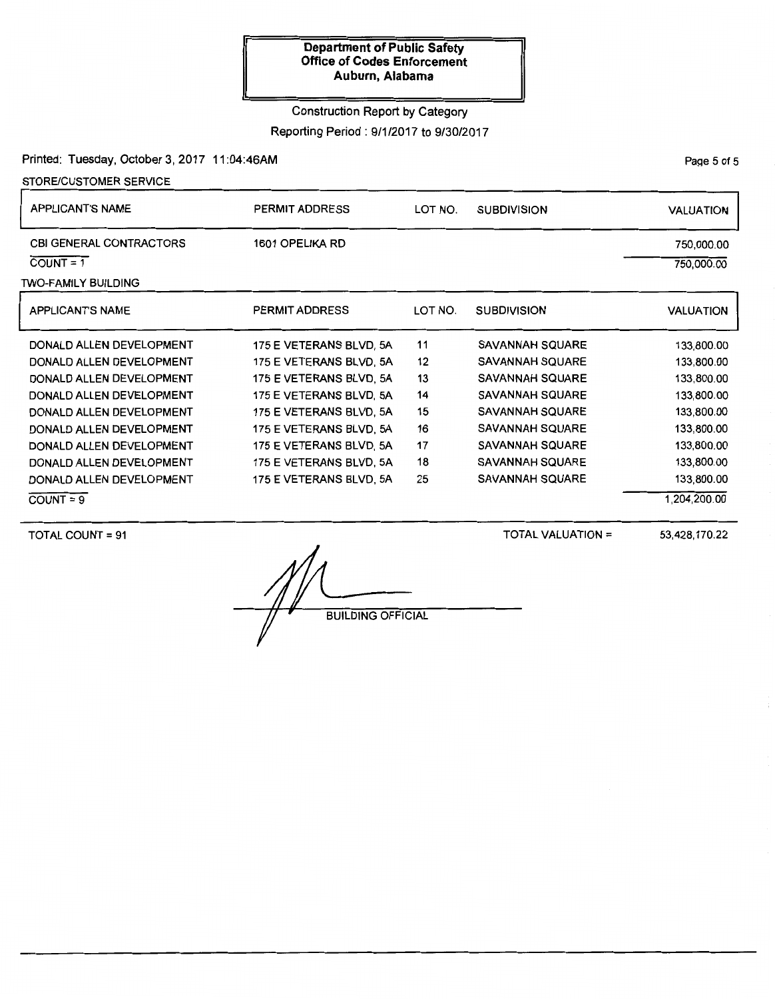#### Construction Report by Category

Reporting Period: 9/1/2017 to 9/30/2017

Printed: Tuesday, October 3, 2017 11:04:46AM

| STORE/CUSTOMER SERVICE         |                         |         |                        |                  |
|--------------------------------|-------------------------|---------|------------------------|------------------|
| <b>APPLICANT'S NAME</b>        | <b>PERMIT ADDRESS</b>   | LOT NO. | <b>SUBDIVISION</b>     | <b>VALUATION</b> |
| <b>CBI GENERAL CONTRACTORS</b> | 1601 OPELIKA RD         |         |                        | 750,000.00       |
| $COUNT = 1$                    |                         |         |                        | 750,000.00       |
| <b>TWO-FAMILY BUILDING</b>     |                         |         |                        |                  |
| <b>APPLICANT'S NAME</b>        | PERMIT ADDRESS          | LOT NO. | <b>SUBDIVISION</b>     | <b>VALUATION</b> |
| DONALD ALLEN DEVELOPMENT       | 175 E VETERANS BLVD, 5A | 11      | SAVANNAH SQUARE        | 133,800.00       |
| DONALD ALLEN DEVELOPMENT       | 175 E VETERANS BLVD, 5A | 12      | <b>SAVANNAH SQUARE</b> | 133,800.00       |
| DONALD ALLEN DEVELOPMENT       | 175 E VETERANS BLVD, 5A | 13      | SAVANNAH SQUARE        | 133,800.00       |
| DONALD ALLEN DEVELOPMENT       | 175 E VETERANS BLVD, 5A | 14      | SAVANNAH SQUARE        | 133,800.00       |
| DONALD ALLEN DEVELOPMENT       | 175 E VETERANS BLVD, 5A | 15      | <b>SAVANNAH SQUARE</b> | 133,800.00       |
| DONALD ALLEN DEVELOPMENT       | 175 E VETERANS BLVD, 5A | 16      | SAVANNAH SQUARE        | 133,800.00       |
| DONALD ALLEN DEVELOPMENT       | 175 E VETERANS BLVD, 5A | 17      | SAVANNAH SQUARE        | 133,800.00       |
| DONALD ALLEN DEVELOPMENT       | 175 E VETERANS BLVD, 5A | 18      | SAVANNAH SQUARE        | 133,800.00       |
| DONALD ALLEN DEVELOPMENT       | 175 E VETERANS BLVD, 5A | 25      | <b>SAVANNAH SQUARE</b> | 133,800.00       |
| $COUNT = 9$                    |                         |         |                        | 1.204.200.00     |

TOTAL COUNT= 91

TOTAL VALUATION=

S3,428, 170.22

**BUILDING OFFICIAL** 

Page 5 of 5